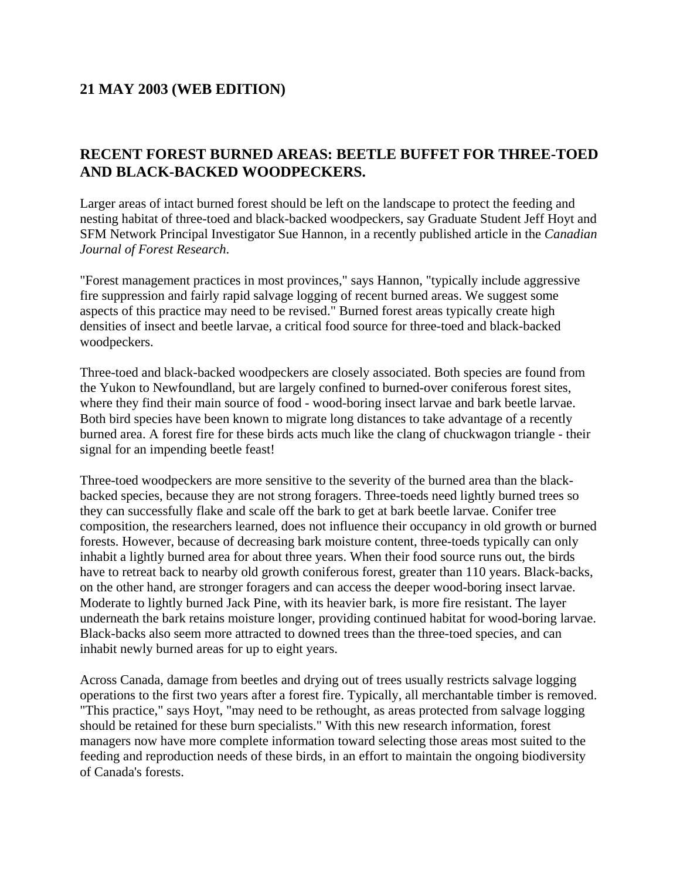## **21 MAY 2003 (WEB EDITION)**

## **RECENT FOREST BURNED AREAS: BEETLE BUFFET FOR THREE-TOED AND BLACK-BACKED WOODPECKERS.**

Larger areas of intact burned forest should be left on the landscape to protect the feeding and nesting habitat of three-toed and black-backed woodpeckers, say Graduate Student Jeff Hoyt and SFM Network Principal Investigator Sue Hannon, in a recently published article in the *Canadian Journal of Forest Research*.

"Forest management practices in most provinces," says Hannon, "typically include aggressive fire suppression and fairly rapid salvage logging of recent burned areas. We suggest some aspects of this practice may need to be revised." Burned forest areas typically create high densities of insect and beetle larvae, a critical food source for three-toed and black-backed woodpeckers.

Three-toed and black-backed woodpeckers are closely associated. Both species are found from the Yukon to Newfoundland, but are largely confined to burned-over coniferous forest sites, where they find their main source of food - wood-boring insect larvae and bark beetle larvae. Both bird species have been known to migrate long distances to take advantage of a recently burned area. A forest fire for these birds acts much like the clang of chuckwagon triangle - their signal for an impending beetle feast!

Three-toed woodpeckers are more sensitive to the severity of the burned area than the blackbacked species, because they are not strong foragers. Three-toeds need lightly burned trees so they can successfully flake and scale off the bark to get at bark beetle larvae. Conifer tree composition, the researchers learned, does not influence their occupancy in old growth or burned forests. However, because of decreasing bark moisture content, three-toeds typically can only inhabit a lightly burned area for about three years. When their food source runs out, the birds have to retreat back to nearby old growth coniferous forest, greater than 110 years. Black-backs, on the other hand, are stronger foragers and can access the deeper wood-boring insect larvae. Moderate to lightly burned Jack Pine, with its heavier bark, is more fire resistant. The layer underneath the bark retains moisture longer, providing continued habitat for wood-boring larvae. Black-backs also seem more attracted to downed trees than the three-toed species, and can inhabit newly burned areas for up to eight years.

Across Canada, damage from beetles and drying out of trees usually restricts salvage logging operations to the first two years after a forest fire. Typically, all merchantable timber is removed. "This practice," says Hoyt, "may need to be rethought, as areas protected from salvage logging should be retained for these burn specialists." With this new research information, forest managers now have more complete information toward selecting those areas most suited to the feeding and reproduction needs of these birds, in an effort to maintain the ongoing biodiversity of Canada's forests.